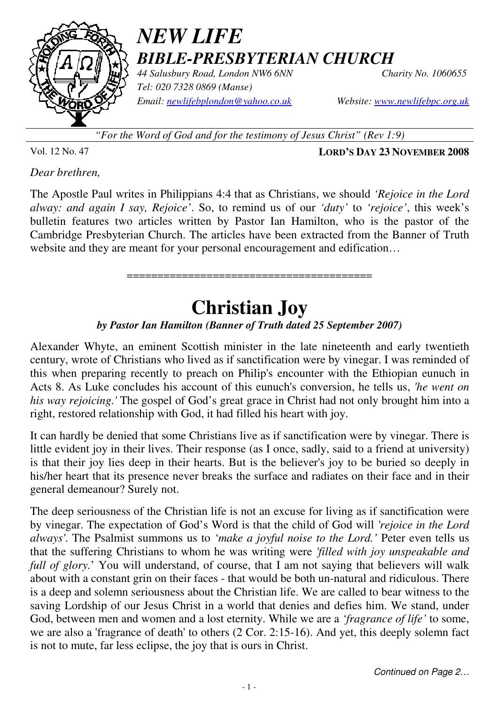

### *NEW LIFE BIBLE-PRESBYTERIAN CHURCH*

*44 Salusbury Road, London NW6 6NN Charity No. 1060655 Tel: 020 7328 0869 (Manse) Email: newlifebplondon@yahoo.co.uk Website: www.newlifebpc.org.uk*

*"For the Word of God and for the testimony of Jesus Christ" (Rev 1:9)*

Vol. 12 No. 47 **LORD'S DAY 23 NOVEMBER 2008**

*Dear brethren,* 

The Apostle Paul writes in Philippians 4:4 that as Christians, we should *'Rejoice in the Lord alway: and again I say, Rejoice'*. So, to remind us of our *'duty'* to *'rejoice'*, this week's bulletin features two articles written by Pastor Ian Hamilton, who is the pastor of the Cambridge Presbyterian Church. The articles have been extracted from the Banner of Truth website and they are meant for your personal encouragement and edification...

========================================

# **Christian Joy**

#### *by Pastor Ian Hamilton (Banner of Truth dated 25 September 2007)*

Alexander Whyte, an eminent Scottish minister in the late nineteenth and early twentieth century, wrote of Christians who lived as if sanctification were by vinegar. I was reminded of this when preparing recently to preach on Philip's encounter with the Ethiopian eunuch in Acts 8. As Luke concludes his account of this eunuch's conversion, he tells us, *'he went on his way rejoicing.'* The gospel of God's great grace in Christ had not only brought him into a right, restored relationship with God, it had filled his heart with joy.

It can hardly be denied that some Christians live as if sanctification were by vinegar. There is little evident joy in their lives. Their response (as I once, sadly, said to a friend at university) is that their joy lies deep in their hearts. But is the believer's joy to be buried so deeply in his/her heart that its presence never breaks the surface and radiates on their face and in their general demeanour? Surely not.

The deep seriousness of the Christian life is not an excuse for living as if sanctification were by vinegar. The expectation of God's Word is that the child of God will *'rejoice in the Lord always'*. The Psalmist summons us to *'make a joyful noise to the Lord.'* Peter even tells us that the suffering Christians to whom he was writing were *'filled with joy unspeakable and full of glory.*' You will understand, of course, that I am not saying that believers will walk about with a constant grin on their faces - that would be both un-natural and ridiculous. There is a deep and solemn seriousness about the Christian life. We are called to bear witness to the saving Lordship of our Jesus Christ in a world that denies and defies him. We stand, under God, between men and women and a lost eternity. While we are a *'fragrance of life'* to some, we are also a 'fragrance of death' to others (2 Cor. 2:15-16). And yet, this deeply solemn fact is not to mute, far less eclipse, the joy that is ours in Christ.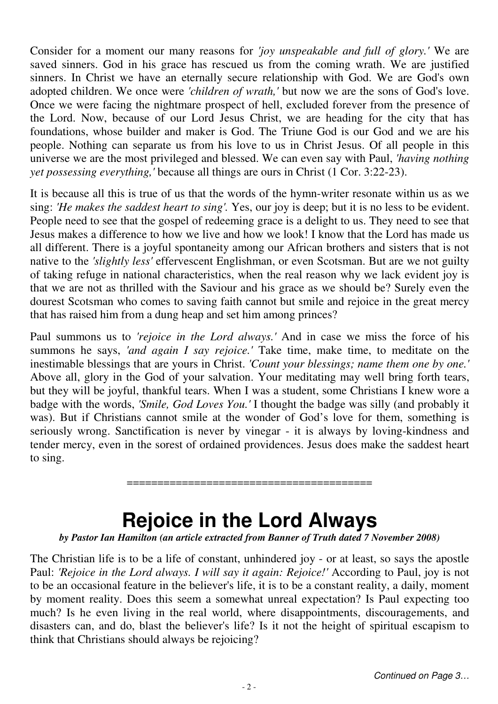Consider for a moment our many reasons for *'joy unspeakable and full of glory.'* We are saved sinners. God in his grace has rescued us from the coming wrath. We are justified sinners. In Christ we have an eternally secure relationship with God. We are God's own adopted children. We once were *'children of wrath,'* but now we are the sons of God's love. Once we were facing the nightmare prospect of hell, excluded forever from the presence of the Lord. Now, because of our Lord Jesus Christ, we are heading for the city that has foundations, whose builder and maker is God. The Triune God is our God and we are his people. Nothing can separate us from his love to us in Christ Jesus. Of all people in this universe we are the most privileged and blessed. We can even say with Paul, *'having nothing yet possessing everything,'* because all things are ours in Christ (1 Cor. 3:22-23).

It is because all this is true of us that the words of the hymn-writer resonate within us as we sing: *'He makes the saddest heart to sing'.* Yes, our joy is deep; but it is no less to be evident. People need to see that the gospel of redeeming grace is a delight to us. They need to see that Jesus makes a difference to how we live and how we look! I know that the Lord has made us all different. There is a joyful spontaneity among our African brothers and sisters that is not native to the *'slightly less'* effervescent Englishman, or even Scotsman. But are we not guilty of taking refuge in national characteristics, when the real reason why we lack evident joy is that we are not as thrilled with the Saviour and his grace as we should be? Surely even the dourest Scotsman who comes to saving faith cannot but smile and rejoice in the great mercy that has raised him from a dung heap and set him among princes?

Paul summons us to *'rejoice in the Lord always.'* And in case we miss the force of his summons he says, *'and again I say rejoice.'* Take time, make time, to meditate on the inestimable blessings that are yours in Christ. *'Count your blessings; name them one by one.'* Above all, glory in the God of your salvation. Your meditating may well bring forth tears, but they will be joyful, thankful tears. When I was a student, some Christians I knew wore a badge with the words, *'Smile, God Loves You.'* I thought the badge was silly (and probably it was). But if Christians cannot smile at the wonder of God's love for them, something is seriously wrong. Sanctification is never by vinegar - it is always by loving-kindness and tender mercy, even in the sorest of ordained providences. Jesus does make the saddest heart to sing.

## **Rejoice in the Lord Always**

========================================

#### *by Pastor Ian Hamilton (an article extracted from Banner of Truth dated 7 November 2008)*

The Christian life is to be a life of constant, unhindered joy - or at least, so says the apostle Paul: *'Rejoice in the Lord always. I will say it again: Rejoice!'* According to Paul, joy is not to be an occasional feature in the believer's life, it is to be a constant reality, a daily, moment by moment reality. Does this seem a somewhat unreal expectation? Is Paul expecting too much? Is he even living in the real world, where disappointments, discouragements, and disasters can, and do, blast the believer's life? Is it not the height of spiritual escapism to think that Christians should always be rejoicing?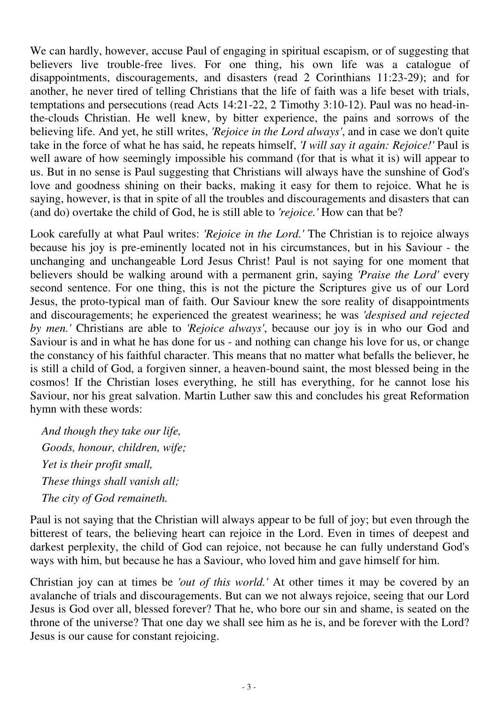We can hardly, however, accuse Paul of engaging in spiritual escapism, or of suggesting that believers live trouble-free lives. For one thing, his own life was a catalogue of disappointments, discouragements, and disasters (read 2 Corinthians 11:23-29); and for another, he never tired of telling Christians that the life of faith was a life beset with trials, temptations and persecutions (read Acts 14:21-22, 2 Timothy 3:10-12). Paul was no head-inthe-clouds Christian. He well knew, by bitter experience, the pains and sorrows of the believing life. And yet, he still writes, *'Rejoice in the Lord always'*, and in case we don't quite take in the force of what he has said, he repeats himself, *'I will say it again: Rejoice!'* Paul is well aware of how seemingly impossible his command (for that is what it is) will appear to us. But in no sense is Paul suggesting that Christians will always have the sunshine of God's love and goodness shining on their backs, making it easy for them to rejoice. What he is saying, however, is that in spite of all the troubles and discouragements and disasters that can (and do) overtake the child of God, he is still able to *'rejoice.'* How can that be?

Look carefully at what Paul writes: *'Rejoice in the Lord.'* The Christian is to rejoice always because his joy is pre-eminently located not in his circumstances, but in his Saviour - the unchanging and unchangeable Lord Jesus Christ! Paul is not saying for one moment that believers should be walking around with a permanent grin, saying *'Praise the Lord'* every second sentence. For one thing, this is not the picture the Scriptures give us of our Lord Jesus, the proto-typical man of faith. Our Saviour knew the sore reality of disappointments and discouragements; he experienced the greatest weariness; he was *'despised and rejected by men.'* Christians are able to *'Rejoice always'*, because our joy is in who our God and Saviour is and in what he has done for us - and nothing can change his love for us, or change the constancy of his faithful character. This means that no matter what befalls the believer, he is still a child of God, a forgiven sinner, a heaven-bound saint, the most blessed being in the cosmos! If the Christian loses everything, he still has everything, for he cannot lose his Saviour, nor his great salvation. Martin Luther saw this and concludes his great Reformation hymn with these words:

 *And though they take our life, Goods, honour, children, wife; Yet is their profit small, These things shall vanish all; The city of God remaineth.*

Paul is not saying that the Christian will always appear to be full of joy; but even through the bitterest of tears, the believing heart can rejoice in the Lord. Even in times of deepest and darkest perplexity, the child of God can rejoice, not because he can fully understand God's ways with him, but because he has a Saviour, who loved him and gave himself for him.

Christian joy can at times be *'out of this world.'* At other times it may be covered by an avalanche of trials and discouragements. But can we not always rejoice, seeing that our Lord Jesus is God over all, blessed forever? That he, who bore our sin and shame, is seated on the throne of the universe? That one day we shall see him as he is, and be forever with the Lord? Jesus is our cause for constant rejoicing.